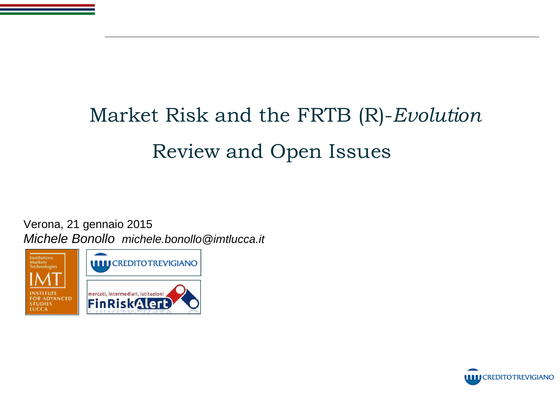# Market Risk and the FRTB (R)-*Evolution* Review and Open Issues

Verona, 21 gennaio 2015 Michele Bonollo michele.bonollo@imtlucca.it





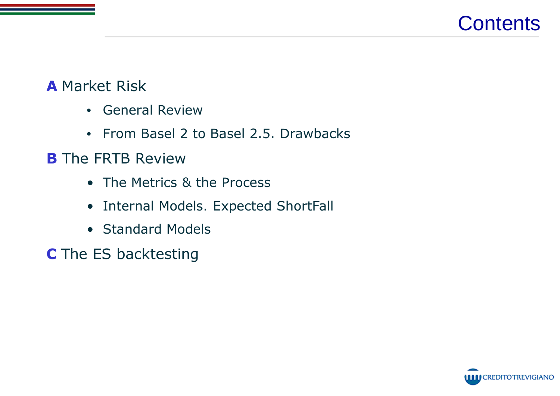

### **A** Market Risk

- General Review
- From Basel 2 to Basel 2.5. Drawbacks

### **B** The FRTB Review

- The Metrics & the Process
- Internal Models. Expected ShortFall
- Standard Models

**C** The ES backtesting

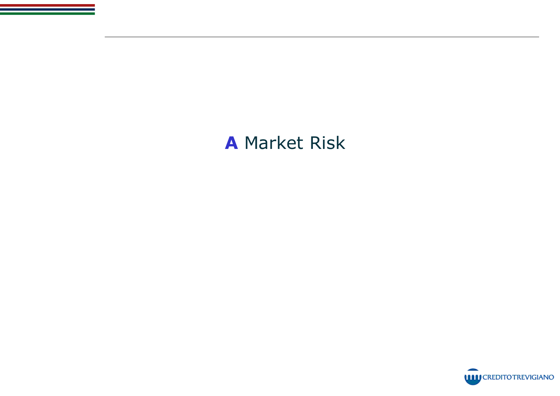# **A** Market Risk

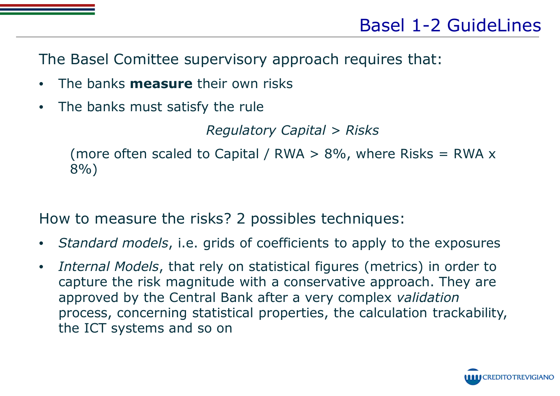The Basel Comittee supervisory approach requires that:

- The banks **measure** their own risks
- The banks must satisfy the rule

*Regulatory Capital > Risks*

(more often scaled to Capital / RWA  $>$  8%, where Risks = RWA  $\times$ 8%)

How to measure the risks? 2 possibles techniques:

- *Standard models*, i.e. grids of coefficients to apply to the exposures
- *Internal Models*, that rely on statistical figures (metrics) in order to capture the risk magnitude with a conservative approach. They are approved by the Central Bank after a very complex *validation* process, concerning statistical properties, the calculation trackability, the ICT systems and so on

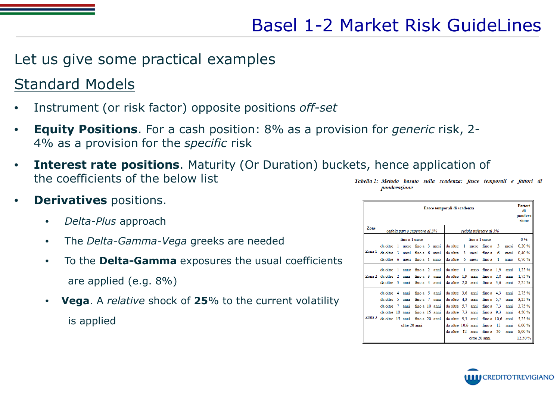### Let us give some practical examples

## Standard Models

- Instrument (or risk factor) opposite positions *off-set*
- **Equity Positions**. For a cash position: 8% as a provision for *generic* risk, 2- 4% as a provision for the *specific* risk
- **Interest rate positions.** Maturity (Or Duration) buckets, hence application of the coefficients of the below list

#### **Derivatives** positions.

- *Delta-Plus* approach
- The *Delta-Gamma-Vega* greeks are needed
- To the **Delta-Gamma** exposures the usual coefficients are applied (e.g. 8%)
- **Vega**. A *relative* shock of **25**% to the current volatility is applied

Tabella 1: Metodo basato sulla scadenza: fasce temporali e fattori di ponderazione

|        | Fasce temporali di scadenza                             |  |               |                |  |  |                               |               | <b>Fattori</b><br>di<br>pondera<br>zione |                    |        |      |        |
|--------|---------------------------------------------------------|--|---------------|----------------|--|--|-------------------------------|---------------|------------------------------------------|--------------------|--------|------|--------|
| Zone   | cedola pari o superiore al 3%<br>cedola inferiore al 3% |  |               |                |  |  |                               |               |                                          |                    |        |      |        |
|        | fino a 1 mese                                           |  |               |                |  |  |                               | fino a 1 mese |                                          |                    |        |      |        |
|        | da oltre 1 mese fino a 3 mesi                           |  |               |                |  |  | da oltre 1 mese fino a        |               |                                          |                    | $_{3}$ | mesi | 0,20%  |
| Zona 1 | da oltre 3 mesi fino a 6 mesi                           |  |               |                |  |  | da oltre                      | 3             | mesi                                     | fino a             | 6      | mesi | 0,40%  |
|        | da oltre 6 mesi fino a 1 anno                           |  |               |                |  |  | da oltre                      | 6             | mesi                                     | fino a             | 1      | anno | 0,70%  |
|        | da oltre 1 anno                                         |  |               | fino a 2 anni  |  |  | da oltre 1                    |               | anno                                     | $finoa$ 1.9        |        | anni | 1,25%  |
| Zona 2 | da oltre 2                                              |  | anni          | fino a 3 anni  |  |  | da oltre 1.9 anni             |               |                                          | fino $a$ 2.8       |        | anni | 1,75%  |
|        | da oltre 3 anni                                         |  |               | fino a 4 anni  |  |  | da oltre 2,8 anni             |               |                                          | fino $a \quad 3.6$ |        | anni | 2,25%  |
|        | da oltre 4 anni                                         |  |               | fino a 5 anni  |  |  | da oltre 3,6 anni             |               |                                          | fino $a \neq 4.3$  |        | anni | 2,75%  |
|        | da oltre 5 anni                                         |  |               | fino a 7 anni  |  |  | da oltre 4,3 anni             |               |                                          | fino $a$ 5.7       |        | anni | 3,25%  |
|        | da oltre 7                                              |  | anni          | fino a 10 anni |  |  | da oltre 5,7 anni             |               |                                          | fino $a$ 7.3       |        | anni | 3,75%  |
|        | da oltre 10 anni                                        |  |               | fino a 15 anni |  |  | da oltre 7,3 anni             |               |                                          | fino $a$ 9.3       |        | anni | 4,50%  |
| Zona 3 | da oltre 15 anni fino a 20 anni                         |  |               |                |  |  | da oltre 9.3 anni fino a 10.6 |               |                                          |                    |        | anni | 5,25%  |
|        |                                                         |  | oltre 20 anni |                |  |  | da oltre 10.6 anni            |               |                                          | fino a             | -12    | anni | 6,00%  |
|        |                                                         |  |               |                |  |  | da oltre 12 anni              |               |                                          | fino a             | 20     | anni | 8,00%  |
|        |                                                         |  |               |                |  |  |                               |               | oltre 20 anni                            |                    |        |      | 12,50% |

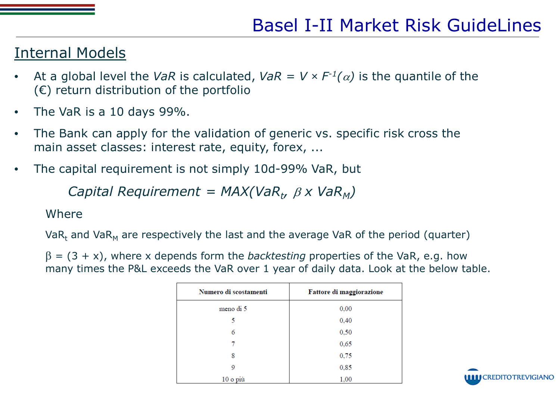#### Internal Models

- At a global level the *VaR* is calculated, *VaR* = *V*  $\times$  *F*<sup>-1</sup>( $\alpha$ ) is the quantile of the  $(\epsilon)$  return distribution of the portfolio
- The VaR is a 10 days 99%.
- The Bank can apply for the validation of generic vs. specific risk cross the main asset classes: interest rate, equity, forex, ...
- The capital requirement is not simply 10d-99% VaR, but

*Capital Requirement* =  $MAX(VaR_t, \beta X VaR_M)$ 

#### Where

 $VaR_t$  and  $VaR_M$  are respectively the last and the average VaR of the period (quarter)

 $\beta = (3 + x)$ , where x depends form the *backtesting* properties of the VaR, e.g. how many times the P&L exceeds the VaR over 1 year of daily data. Look at the below table.

| Numero di scostamenti | Fattore di maggiorazione |  |  |  |  |
|-----------------------|--------------------------|--|--|--|--|
| meno di 5             | 0,00                     |  |  |  |  |
| 5                     | 0,40                     |  |  |  |  |
| 6                     | 0,50                     |  |  |  |  |
|                       | 0,65                     |  |  |  |  |
| 8                     | 0,75                     |  |  |  |  |
| 9                     | 0,85                     |  |  |  |  |
| 10 o più              | 1,00                     |  |  |  |  |

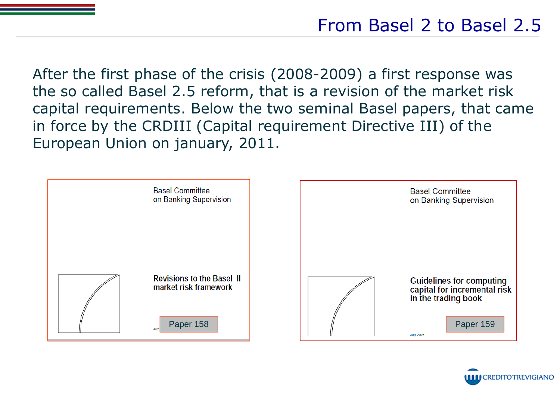After the first phase of the crisis (2008-2009) a first response was the so called Basel 2.5 reform, that is a revision of the market risk capital requirements. Below the two seminal Basel papers, that came in force by the CRDIII (Capital requirement Directive III) of the European Union on january, 2011.



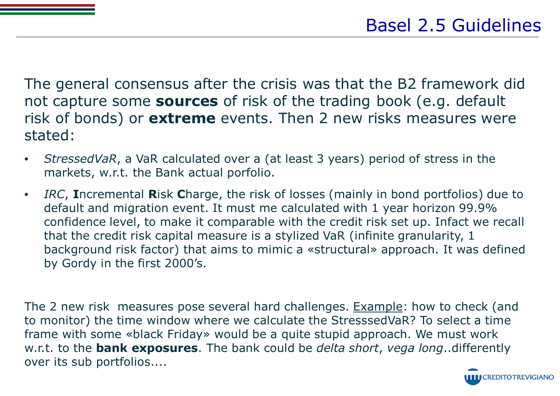The general consensus after the crisis was that the B2 framework did not capture some **sources** of risk of the trading book (e.g. default risk of bonds) or **extreme** events. Then 2 new risks measures were stated:

- *StressedVaR*, a VaR calculated over a (at least 3 years) period of stress in the markets, w.r.t. the Bank actual porfolio.
- *IRC*, **I**ncremental **R**isk **C**harge, the risk of losses (mainly in bond portfolios) due to default and migration event. It must me calculated with 1 year horizon 99.9% confidence level, to make it comparable with the credit risk set up. Infact we recall that the credit risk capital measure is a stylized VaR (infinite granularity, 1 background risk factor) that aims to mimic a «structural» approach. It was defined by Gordy in the first 2000's.

The 2 new risk measures pose several hard challenges. Example: how to check (and to monitor) the time window where we calculate the StresssedVaR? To select a time frame with some «black Friday» would be a quite stupid approach. We must work w.r.t. to the **bank exposures**. The bank could be *delta short*, *vega long*..differently over its sub portfolios....

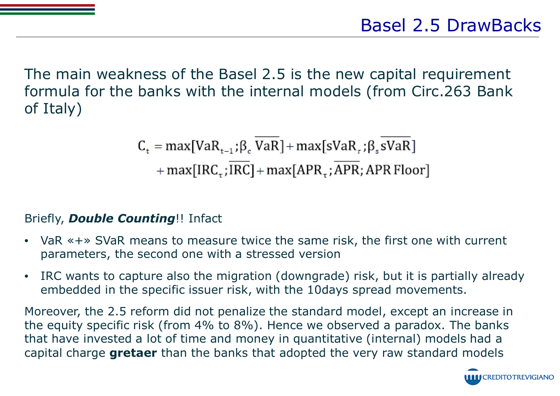The main weakness of the Basel 2.5 is the new capital requirement formula for the banks with the internal models (from Circ.263 Bank of Italy)

 $C_t = max[VaR_{t-1}; \beta, VaR] + max[svaR_{t}; \beta, svaR]$ 

 $+ max[IRC_{\tau};IRC] + max[APR_{\tau};APR;APR{}$  Floor]

#### Briefly, *Double Counting*!! Infact

- VaR «+» SVaR means to measure twice the same risk, the first one with current parameters, the second one with a stressed version
- IRC wants to capture also the migration (downgrade) risk, but it is partially already embedded in the specific issuer risk, with the 10days spread movements.

Moreover, the 2.5 reform did not penalize the standard model, except an increase in the equity specific risk (from 4% to 8%). Hence we observed a paradox. The banks that have invested a lot of time and money in quantitative (internal) models had a capital charge **gretaer** than the banks that adopted the very raw standard models

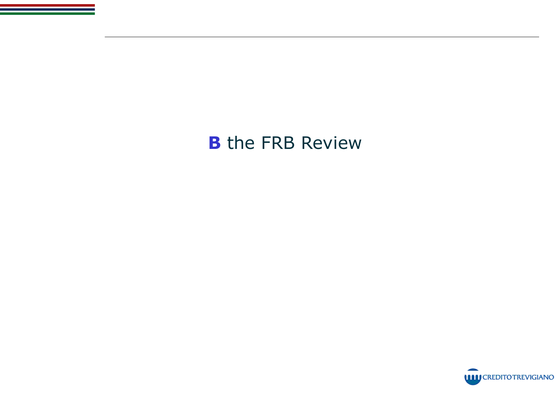# **B** the FRB Review

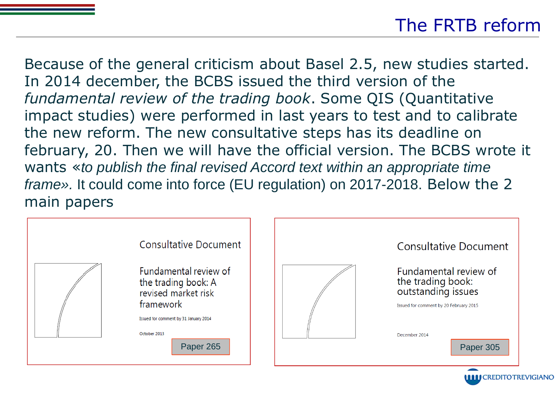# The FRTB reform

Because of the general criticism about Basel 2.5, new studies started. In 2014 december, the BCBS issued the third version of the *fundamental review of the trading book*. Some QIS (Quantitative impact studies) were performed in last years to test and to calibrate the new reform. The new consultative steps has its deadline on february, 20. Then we will have the official version. The BCBS wrote it wants «to publish the final revised Accord text within an appropriate time frame». It could come into force (EU regulation) on 2017-2018. Below the 2 main papers



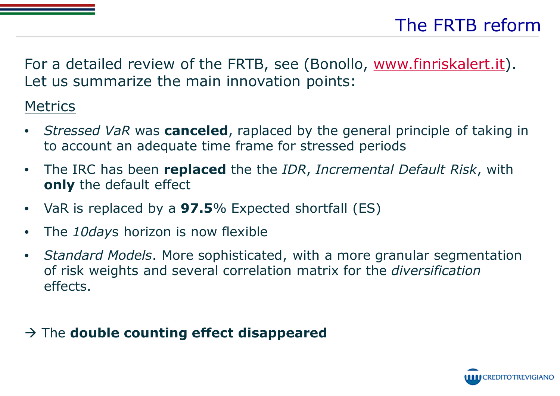For a detailed review of the FRTB, see (Bonollo, www.finriskalert.it). Let us summarize the main innovation points:

## **Metrics**

- *Stressed VaR* was **canceled**, raplaced by the general principle of taking in to account an adequate time frame for stressed periods
- The IRC has been **replaced** the the *IDR*, *Incremental Default Risk*, with **only** the default effect
- VaR is replaced by a **97.5**% Expected shortfall (ES)
- The *10day*s horizon is now flexible
- *Standard Models*. More sophisticated, with a more granular segmentation of risk weights and several correlation matrix for the *diversification* effects.

### � The **double counting effect disappeared**

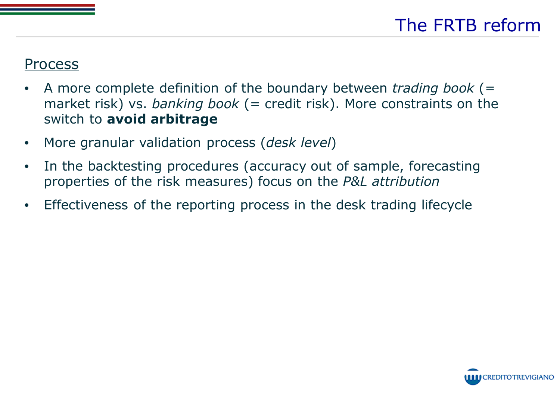### Process

- A more complete definition of the boundary between *trading book* (= market risk) vs. *banking book* (= credit risk). More constraints on the switch to **avoid arbitrage**
- More granular validation process (*desk level*)
- In the backtesting procedures (accuracy out of sample, forecasting properties of the risk measures) focus on the *P&L attribution*
- Effectiveness of the reporting process in the desk trading lifecycle

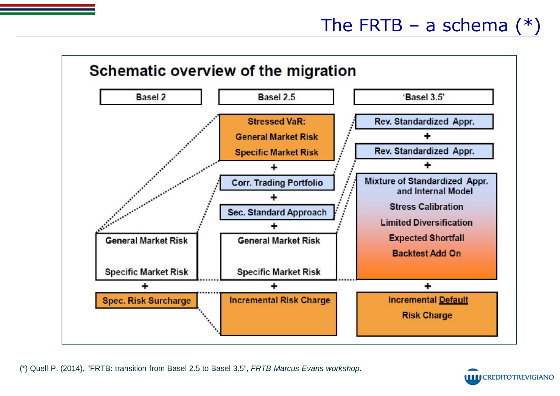

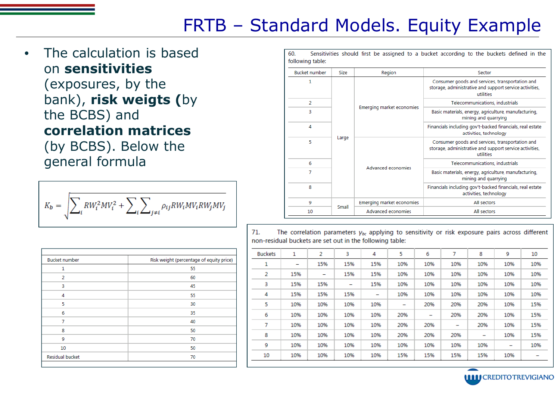# FRTB – Standard Models. Equity Example

The calculation is based on **sensitivities**

#### (exposures, by the bank), **risk weigts (**by the BCBS) and **correlation matrices**

(by BCBS). Below the general formula

$$
K_b = \sqrt{\sum_i RW_i^2MV_i^2 + \sum_i \sum_{j \neq i} \rho_{ij}RW_iMV_iRW_jMV_j}
$$

| <b>Bucket number</b>   | Risk weight (percentage of equity price) |
|------------------------|------------------------------------------|
| 1                      | 55                                       |
| $\overline{2}$         | 60                                       |
| 3                      | 45                                       |
| 4                      | 55                                       |
| 5                      | 30                                       |
| 6                      | 35                                       |
| 7                      | 40                                       |
| 8                      | 50                                       |
| 9                      | 70                                       |
| 10                     | 50                                       |
| <b>Residual bucket</b> | 70                                       |

60. Sensitivities should first be assigned to a bucket according to the buckets defined in the following table:

| <b>Bucket number</b> | Size  | Region                    | Sector                                                                                                                  |  |  |  |  |
|----------------------|-------|---------------------------|-------------------------------------------------------------------------------------------------------------------------|--|--|--|--|
| 1                    |       |                           | Consumer goods and services, transportation and<br>storage, administrative and support service activities,<br>utilities |  |  |  |  |
| 2                    |       | Emerging market economies | Telecommunications, industrials                                                                                         |  |  |  |  |
| 3                    | Large |                           | Basic materials, energy, agriculture, manufacturing,<br>mining and quarrying                                            |  |  |  |  |
| 4                    |       |                           | Financials including gov't-backed financials, real estate<br>activities, technology                                     |  |  |  |  |
| 5                    |       |                           | Consumer goods and services, transportation and<br>storage, administrative and support service activities,<br>utilities |  |  |  |  |
| 6                    |       |                           | Telecommunications, industrials                                                                                         |  |  |  |  |
| 7                    |       | Advanced economies        | Basic materials, energy, agriculture, manufacturing,<br>mining and quarrying                                            |  |  |  |  |
| 8                    |       |                           | Financials including gov't-backed financials, real estate<br>activities, technology                                     |  |  |  |  |
| 9                    |       | Emerging market economies | All sectors                                                                                                             |  |  |  |  |
| 10                   | Small | Advanced economies        | All sectors                                                                                                             |  |  |  |  |

 $71$ The correlation parameters  $v_{bc}$  applying to sensitivity or risk exposure pairs across different non-residual buckets are set out in the following table:

| <b>Buckets</b> | 1   | 2   | 3   | 4   | 5   | 6   | 7   | 8                        | 9   | 10  |
|----------------|-----|-----|-----|-----|-----|-----|-----|--------------------------|-----|-----|
| 1              | -   | 15% | 15% | 15% | 10% | 10% | 10% | 10%                      | 10% | 10% |
| 2              | 15% | -   | 15% | 15% | 10% | 10% | 10% | 10%                      | 10% | 10% |
| 3              | 15% | 15% | -   | 15% | 10% | 10% | 10% | 10%                      | 10% | 10% |
| 4              | 15% | 15% | 15% | -   | 10% | 10% | 10% | 10%                      | 10% | 10% |
| 5              | 10% | 10% | 10% | 10% | -   | 20% | 20% | 20%                      | 10% | 15% |
| 6              | 10% | 10% | 10% | 10% | 20% | -   | 20% | 20%                      | 10% | 15% |
| 7              | 10% | 10% | 10% | 10% | 20% | 20% | -   | 20%                      | 10% | 15% |
| 8              | 10% | 10% | 10% | 10% | 20% | 20% | 20% | $\overline{\phantom{m}}$ | 10% | 15% |
| 9              | 10% | 10% | 10% | 10% | 10% | 10% | 10% | 10%                      |     | 10% |
| 10             | 10% | 10% | 10% | 10% | 15% | 15% | 15% | 15%                      | 10% |     |

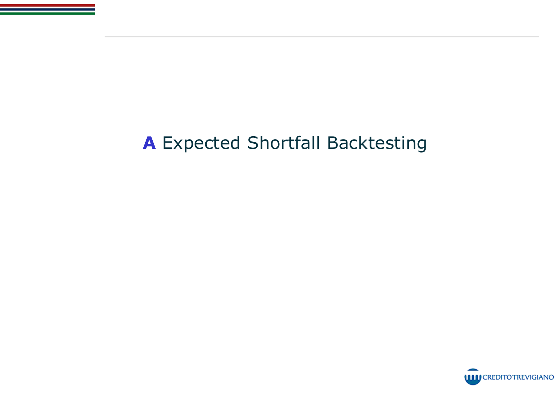# **A** Expected Shortfall Backtesting

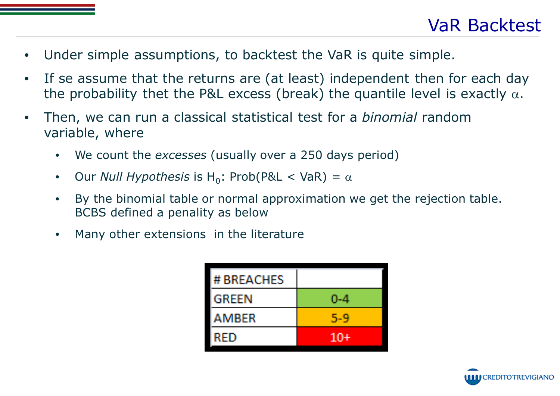- Under simple assumptions, to backtest the VaR is quite simple.
- If se assume that the returns are (at least) independent then for each day the probability thet the P&L excess (break) the quantile level is exactly  $\alpha$ .
- Then, we can run a classical statistical test for a *binomial* random variable, where
	- We count the *excesses* (usually over a 250 days period)
	- Our *Null Hypothesis* is H<sub>0</sub>: Prob(P&L < VaR) =  $\alpha$
	- By the binomial table or normal approximation we get the rejection table. BCBS defined a penality as below
	- Many other extensions in the literature

| # BREACHES   |       |
|--------------|-------|
| <b>GREEN</b> | 0-4   |
| AMBER        | 5-9   |
| RED          | $10+$ |

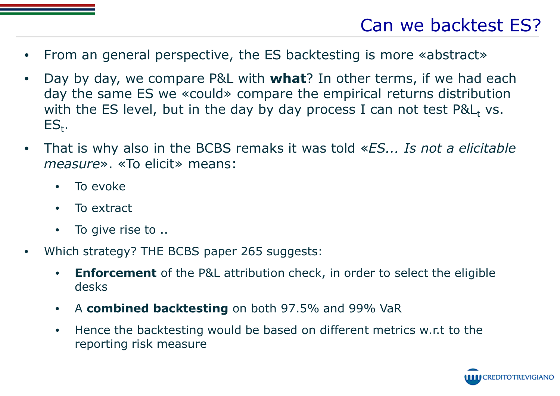- From an general perspective, the ES backtesting is more «abstract»
- Day by day, we compare P&L with **what**? In other terms, if we had each day the same ES we «could» compare the empirical returns distribution with the ES level, but in the day by day process I can not test  $P\&L_t$  vs.  $ES_{t}$ .
- That is why also in the BCBS remaks it was told «*ES... Is not a elicitable measure*». «To elicit» means:
	- To evoke
	- To extract
	- To give rise to ..
- Which strategy? THE BCBS paper 265 suggests:
	- **Enforcement** of the P&L attribution check, in order to select the eligible desks
	- A **combined backtesting** on both 97.5% and 99% VaR
	- Hence the backtesting would be based on different metrics w.r.t to the reporting risk measure

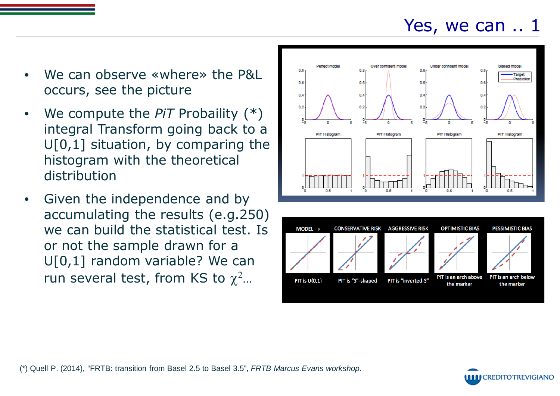# Yes, we can .. 1

- We can observe «where» the P&L occurs, see the picture
- We compute the *PiT* Probaility (\*) integral Transform going back to a  $U[0,1]$  situation, by comparing the histogram with the theoretical distribution
- Given the independence and by accumulating the results (e.g.250) we can build the statistical test. Is or not the sample drawn for a U[0,1] random variable? We can run several test, from KS to  $\chi^2$ ...





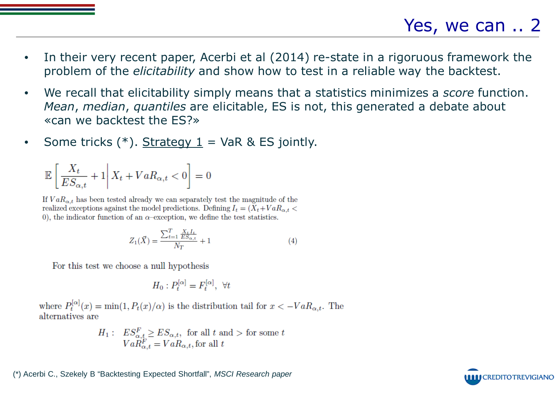- In their very recent paper, Acerbi et al (2014) re-state in a rigoruous framework the problem of the *elicitability* and show how to test in a reliable way the backtest.
- We recall that elicitability simply means that a statistics minimizes a *score* function. *Mean*, *median*, *quantiles* are elicitable, ES is not, this generated a debate about «can we backtest the ES?»
- Some tricks  $(*)$ . Strategy  $1 = \text{VaR}$  & ES jointly.

$$
\mathbb{E}\left[\left.\frac{X_t}{ES_{\alpha,t}}+1\right|X_t+VaR_{\alpha,t}<0\right]=0
$$

If  $VaR_{\alpha t}$  has been tested already we can separately test the magnitude of the realized exceptions against the model predictions. Defining  $I_t = (\tilde{X}_t + VaR_{\alpha t} <$ 0), the indicator function of an  $\alpha$ -exception, we define the test statistics.

$$
Z_1(\vec{X}) = \frac{\sum_{t=1}^{T} \frac{X_t I_t}{ES_{\alpha, t}}}{N_T} + 1
$$
\n(4)

For this test we choose a null hypothesis

$$
H_0: P_t^{[\alpha]} = F_t^{[\alpha]}, \ \forall t
$$

where  $P_t^{[\alpha]}(x) = \min(1, P_t(x)/\alpha)$  is the distribution tail for  $x < -VaR_{\alpha,t}$ . The alternatives are

$$
H_1: ES_{\alpha,t}^F \ge ES_{\alpha,t}, \text{ for all } t \text{ and } > \text{ for some } t
$$
  

$$
VaR_{\alpha,t}^F = VaR_{\alpha,t}, \text{ for all } t
$$

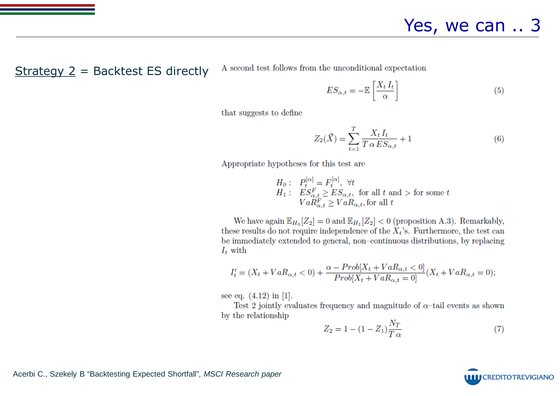$Strategy 2 = Backtest ES directly$ 

A second test follows from the unconditional expectation

$$
ES_{\alpha,t} = -\mathbb{E}\left[\frac{X_t I_t}{\alpha}\right]
$$
\n(5)

that suggests to define

$$
Z_2(\vec{X}) = \sum_{t=1}^T \frac{X_t I_t}{T \alpha E S_{\alpha,t}} + 1
$$
\n
$$
(6)
$$

Appropriate hypotheses for this test are

$$
H_0: P_t^{[\alpha]} = F_t^{[\alpha]}, \forall t
$$
  
\n
$$
H_1: ES_{\alpha,t}^F \ge ES_{\alpha,t}, \text{ for all } t \text{ and } > \text{ for some } t
$$
  
\n
$$
Va_{\alpha,t}^F \ge Va_{\alpha,t}, \text{ for all } t
$$

We have again  $\mathbb{E}_{H_0}[Z_2] = 0$  and  $\mathbb{E}_{H_1}[Z_2] < 0$  (proposition A.3). Remarkably, these results do not require independence of the  $X_t$ 's. Furthermore, the test can be immediately extended to general, non-continuous distributions, by replacing  $I_t$  with

$$
I'_t = (X_t + VaR_{\alpha,t} < 0) + \frac{\alpha - Prob[X_t + VaR_{\alpha,t} < 0]}{Prob[X_t + VaR_{\alpha,t} = 0]}(X_t + VaR_{\alpha,t} = 0);
$$

see eq.  $(4.12)$  in [1].

Test 2 jointly evaluates frequency and magnitude of  $\alpha$ -tail events as shown by the relationship

$$
Z_2 = 1 - (1 - Z_1) \frac{N_T}{T \alpha} \tag{7}
$$

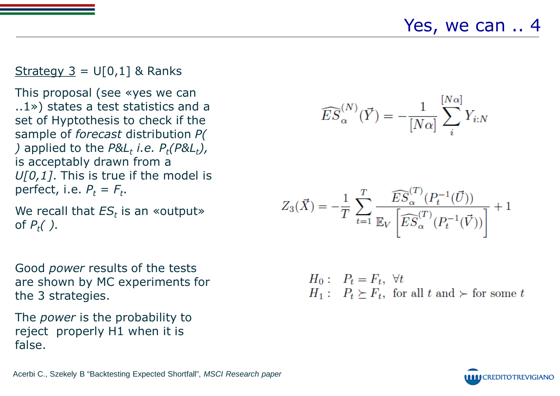Yes, we can .. 4

#### Strategy  $3 = U[0,1]$  & Ranks

This proposal (see «yes we can ..1») states a test statistics and a set of Hyptothesis to check if the sample of *forecast* distribution *P( )* applied to the  $P&L_t$  *i.e.*  $P_t(P&L_t)$ , is acceptably drawn from a *U[0,1]*. This is true if the model is perfect, i.e.  $P_t = F_t$ .

We recall that  $ES_t$  is an «output» of *Pt( ).*

Good *power* results of the tests are shown by MC experiments for the 3 strategies.

The *power* is the probability to reject properly H1 when it is false.

$$
\widehat{ES}_{\alpha}^{(N)}(\vec{Y}) = -\frac{1}{[N\alpha]} \sum_{i}^{[N\alpha]} Y_{i:N}
$$

$$
Z_3(\vec{X}) = -\frac{1}{T} \sum_{t=1}^T \frac{\widehat{ES}_{\alpha}^{(T)}(P_t^{-1}(\vec{U}))}{\mathbb{E}S_{\alpha}^{(T)}(P_t^{-1}(\vec{V}))} + 1
$$

 $H_0: P_t = F_t, \forall t$  $H_1: P_t \succeq F_t$ , for all  $t$  and  $\succ$  for some  $t$